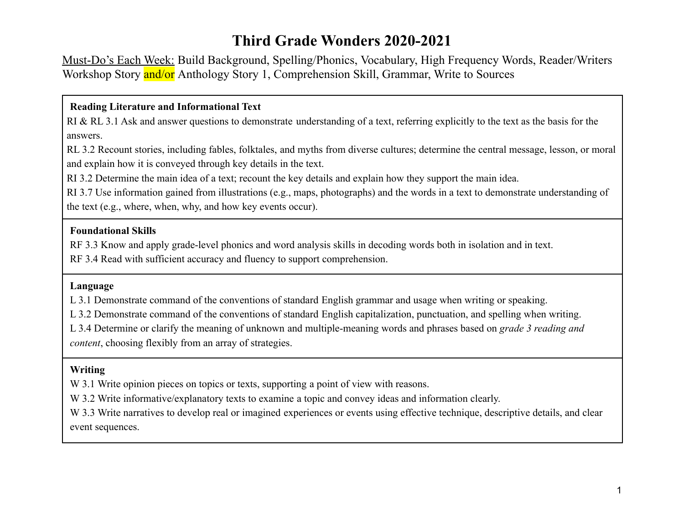# **Third Grade Wonders 2020-2021**

Must-Do's Each Week: Build Background, Spelling/Phonics, Vocabulary, High Frequency Words, Reader/Writers Workshop Story and/or Anthology Story 1, Comprehension Skill, Grammar, Write to Sources

#### **Reading Literature and Informational Text**

RI & RL 3.1 Ask and answer questions to demonstrate understanding of a text, referring explicitly to the text as the basis for the answers.

RL 3.2 Recount stories, including fables, folktales, and myths from diverse cultures; determine the central message, lesson, or moral and explain how it is conveyed through key details in the text.

RI 3.2 Determine the main idea of a text; recount the key details and explain how they support the main idea.

RI 3.7 Use information gained from illustrations (e.g., maps, photographs) and the words in a text to demonstrate understanding of the text (e.g., where, when, why, and how key events occur).

#### **Foundational Skills**

RF 3.3 Know and apply grade-level phonics and word analysis skills in decoding words both in isolation and in text.

RF 3.4 Read with sufficient accuracy and fluency to support comprehension.

#### **Language**

L 3.1 Demonstrate command of the conventions of standard English grammar and usage when writing or speaking.

L 3.2 Demonstrate command of the conventions of standard English capitalization, punctuation, and spelling when writing.

L 3.4 Determine or clarify the meaning of unknown and multiple-meaning words and phrases based on *grade 3 reading and content*, choosing flexibly from an array of strategies.

### **Writing**

W 3.1 Write opinion pieces on topics or texts, supporting a point of view with reasons.

W 3.2 Write informative/explanatory texts to examine a topic and convey ideas and information clearly.

W 3.3 Write narratives to develop real or imagined experiences or events using effective technique, descriptive details, and clear event sequences.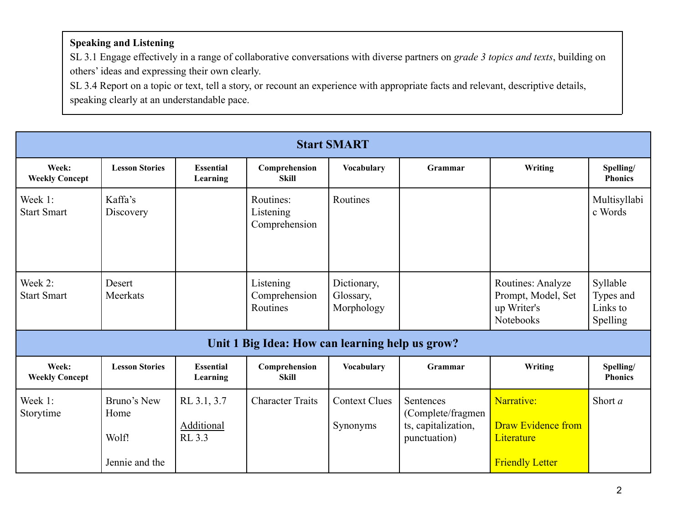## **Speaking and Listening**

SL 3.1 Engage effectively in a range of collaborative conversations with diverse partners on *grade 3 topics and texts*, building on others' ideas and expressing their own clearly.

SL 3.4 Report on a topic or text, tell a story, or recount an experience with appropriate facts and relevant, descriptive details, speaking clearly at an understandable pace.

| <b>Start SMART</b>             |                                                |                                     |                                                 |                                        |                                                                       |                                                                                 |                                               |  |  |  |  |
|--------------------------------|------------------------------------------------|-------------------------------------|-------------------------------------------------|----------------------------------------|-----------------------------------------------------------------------|---------------------------------------------------------------------------------|-----------------------------------------------|--|--|--|--|
| Week:<br><b>Weekly Concept</b> | <b>Lesson Stories</b>                          | <b>Essential</b><br>Learning        | Comprehension<br><b>Skill</b>                   | <b>Vocabulary</b>                      | Grammar                                                               | Writing                                                                         | Spelling/<br><b>Phonics</b>                   |  |  |  |  |
| Week 1:<br><b>Start Smart</b>  | Kaffa's<br>Discovery                           |                                     | Routines:<br>Listening<br>Comprehension         | Routines                               |                                                                       |                                                                                 | Multisyllabi<br>c Words                       |  |  |  |  |
| Week 2:<br><b>Start Smart</b>  | Desert<br>Meerkats                             |                                     | Listening<br>Comprehension<br>Routines          | Dictionary,<br>Glossary,<br>Morphology |                                                                       | Routines: Analyze<br>Prompt, Model, Set<br>up Writer's<br><b>Notebooks</b>      | Syllable<br>Types and<br>Links to<br>Spelling |  |  |  |  |
|                                |                                                |                                     | Unit 1 Big Idea: How can learning help us grow? |                                        |                                                                       |                                                                                 |                                               |  |  |  |  |
| Week:<br><b>Weekly Concept</b> | <b>Lesson Stories</b>                          | <b>Essential</b><br>Learning        | Comprehension<br><b>Skill</b>                   | <b>Vocabulary</b>                      | Grammar                                                               | Writing                                                                         | Spelling/<br><b>Phonics</b>                   |  |  |  |  |
| Week 1:<br>Storytime           | Bruno's New<br>Home<br>Wolf!<br>Jennie and the | RL 3.1, 3.7<br>Additional<br>RL 3.3 | <b>Character Traits</b>                         | <b>Context Clues</b><br>Synonyms       | Sentences<br>(Complete/fragmen<br>ts, capitalization,<br>punctuation) | Narrative:<br><b>Draw Evidence from</b><br>Literature<br><b>Friendly Letter</b> | Short $a$                                     |  |  |  |  |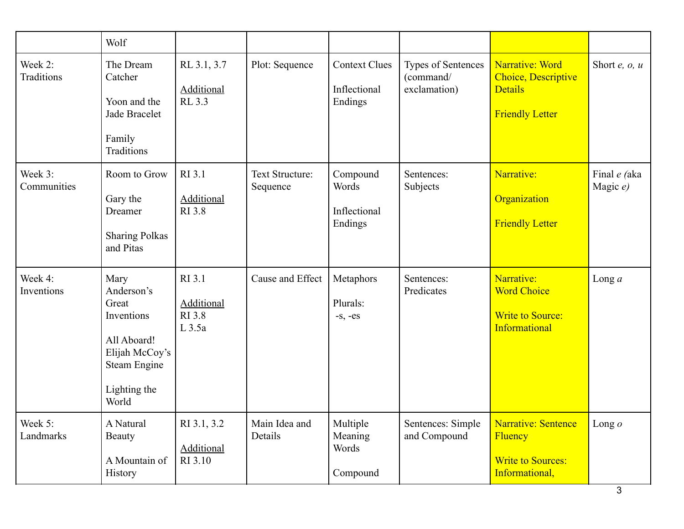|                        | Wolf                                                                                                                       |                                                          |                                    |                                                 |                                                 |                                                                                    |                          |
|------------------------|----------------------------------------------------------------------------------------------------------------------------|----------------------------------------------------------|------------------------------------|-------------------------------------------------|-------------------------------------------------|------------------------------------------------------------------------------------|--------------------------|
| Week 2:<br>Traditions  | The Dream<br>Catcher<br>Yoon and the<br>Jade Bracelet<br>Family<br>Traditions                                              | RL 3.1, 3.7<br><b>Additional</b><br>RL 3.3               | Plot: Sequence                     | <b>Context Clues</b><br>Inflectional<br>Endings | Types of Sentences<br>(command/<br>exclamation) | Narrative: Word<br>Choice, Descriptive<br><b>Details</b><br><b>Friendly Letter</b> | Short $e$ , $o$ , $u$    |
| Week 3:<br>Communities | Room to Grow<br>Gary the<br>Dreamer<br><b>Sharing Polkas</b><br>and Pitas                                                  | RI 3.1<br>Additional<br><b>RI</b> 3.8                    | <b>Text Structure:</b><br>Sequence | Compound<br>Words<br>Inflectional<br>Endings    | Sentences:<br>Subjects                          | Narrative:<br>Organization<br><b>Friendly Letter</b>                               | Final e (aka<br>Magic e) |
| Week 4:<br>Inventions  | Mary<br>Anderson's<br>Great<br>Inventions<br>All Aboard!<br>Elijah McCoy's<br><b>Steam Engine</b><br>Lighting the<br>World | RI 3.1<br><b>Additional</b><br><b>RI</b> 3.8<br>$L$ 3.5a | Cause and Effect                   | Metaphors<br>Plurals:<br>$-S, -es$              | Sentences:<br>Predicates                        | Narrative:<br><b>Word Choice</b><br><b>Write to Source:</b><br>Informational       | Long $a$                 |
| Week 5:<br>Landmarks   | A Natural<br>Beauty<br>A Mountain of<br>History                                                                            | RI 3.1, 3.2<br><b>Additional</b><br>RI 3.10              | Main Idea and<br>Details           | Multiple<br>Meaning<br>Words<br>Compound        | Sentences: Simple<br>and Compound               | Narrative: Sentence<br>Fluency<br><b>Write to Sources:</b><br>Informational,       | Long $o$                 |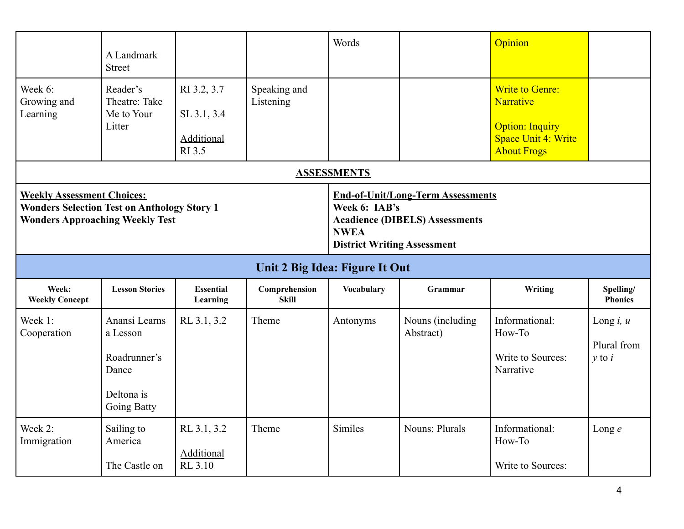|                                                                                                                                   | A Landmark<br><b>Street</b>                                                     |                                                    |                                | Words                                                                                                                                                   |                                | Opinion                                                                                                    |                                            |  |
|-----------------------------------------------------------------------------------------------------------------------------------|---------------------------------------------------------------------------------|----------------------------------------------------|--------------------------------|---------------------------------------------------------------------------------------------------------------------------------------------------------|--------------------------------|------------------------------------------------------------------------------------------------------------|--------------------------------------------|--|
| Week 6:<br>Growing and<br>Learning                                                                                                | Reader's<br>Theatre: Take<br>Me to Your<br>Litter                               | RI 3.2, 3.7<br>SL 3.1, 3.4<br>Additional<br>RI 3.5 | Speaking and<br>Listening      | <b>ASSESSMENTS</b>                                                                                                                                      |                                | <b>Write to Genre:</b><br>Narrative<br><b>Option: Inquiry</b><br>Space Unit 4: Write<br><b>About Frogs</b> |                                            |  |
| <b>Weekly Assessment Choices:</b><br><b>Wonders Selection Test on Anthology Story 1</b><br><b>Wonders Approaching Weekly Test</b> |                                                                                 |                                                    |                                | <b>End-of-Unit/Long-Term Assessments</b><br>Week 6: IAB's<br><b>Acadience (DIBELS) Assessments</b><br><b>NWEA</b><br><b>District Writing Assessment</b> |                                |                                                                                                            |                                            |  |
|                                                                                                                                   |                                                                                 |                                                    | Unit 2 Big Idea: Figure It Out |                                                                                                                                                         |                                |                                                                                                            |                                            |  |
| Week:<br><b>Weekly Concept</b>                                                                                                    | <b>Lesson Stories</b>                                                           | <b>Essential</b><br>Learning                       | Comprehension<br><b>Skill</b>  | <b>Vocabulary</b>                                                                                                                                       | Grammar                        | Writing                                                                                                    | Spelling/<br><b>Phonics</b>                |  |
| Week 1:<br>Cooperation                                                                                                            | Anansi Learns<br>a Lesson<br>Roadrunner's<br>Dance<br>Deltona is<br>Going Batty | RL 3.1, 3.2                                        | Theme                          | Antonyms                                                                                                                                                | Nouns (including)<br>Abstract) | Informational:<br>How-To<br>Write to Sources:<br>Narrative                                                 | Long $i, u$<br>Plural from<br>$\nu$ to $i$ |  |
| Week 2:<br>Immigration                                                                                                            | Sailing to<br>America<br>The Castle on                                          | RL 3.1, 3.2<br><b>Additional</b><br>RL 3.10        | Theme                          | Similes                                                                                                                                                 | <b>Nouns: Plurals</b>          | Informational:<br>How-To<br>Write to Sources:                                                              | Long $e$                                   |  |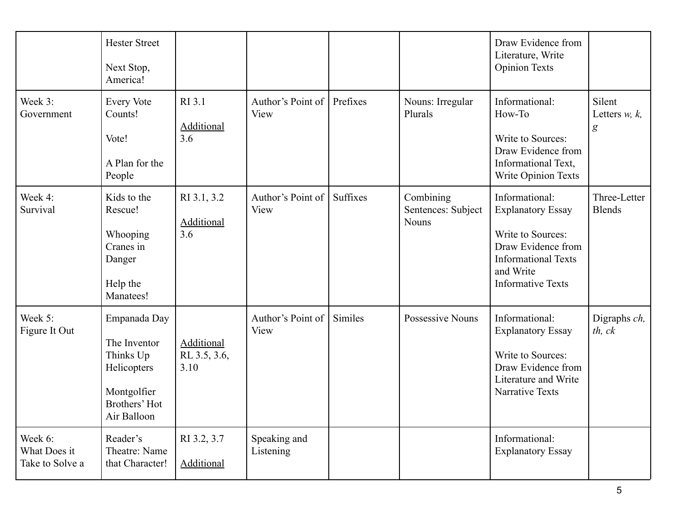|                                            | <b>Hester Street</b><br>Next Stop,<br>America!                                                          |                                         |                           |                 |                                          | Draw Evidence from<br>Literature, Write<br><b>Opinion Texts</b>                                                                                              |                                                |
|--------------------------------------------|---------------------------------------------------------------------------------------------------------|-----------------------------------------|---------------------------|-----------------|------------------------------------------|--------------------------------------------------------------------------------------------------------------------------------------------------------------|------------------------------------------------|
| Week 3:<br>Government                      | <b>Every Vote</b><br>Counts!<br>Vote!<br>A Plan for the<br>People                                       | RI 3.1<br><b>Additional</b><br>3.6      | Author's Point of<br>View | Prefixes        | Nouns: Irregular<br>Plurals              | Informational:<br>How-To<br>Write to Sources:<br>Draw Evidence from<br>Informational Text,<br>Write Opinion Texts                                            | Silent<br>Letters $w, k$ ,<br>$\boldsymbol{g}$ |
| Week 4:<br>Survival                        | Kids to the<br>Rescue!<br>Whooping<br>Cranes in<br>Danger<br>Help the<br>Manatees!                      | RI 3.1, 3.2<br><b>Additional</b><br>3.6 | Author's Point of<br>View | <b>Suffixes</b> | Combining<br>Sentences: Subject<br>Nouns | Informational:<br><b>Explanatory Essay</b><br>Write to Sources:<br>Draw Evidence from<br><b>Informational Texts</b><br>and Write<br><b>Informative Texts</b> | Three-Letter<br><b>Blends</b>                  |
| Week 5:<br>Figure It Out                   | Empanada Day<br>The Inventor<br>Thinks Up<br>Helicopters<br>Montgolfier<br>Brothers' Hot<br>Air Balloon | Additional<br>RL 3.5, 3.6,<br>3.10      | Author's Point of<br>View | Similes         | Possessive Nouns                         | Informational:<br><b>Explanatory Essay</b><br>Write to Sources:<br>Draw Evidence from<br>Literature and Write<br><b>Narrative Texts</b>                      | Digraphs ch,<br>th, ck                         |
| Week 6:<br>What Does it<br>Take to Solve a | Reader's<br>Theatre: Name<br>that Character!                                                            | RI 3.2, 3.7<br>Additional               | Speaking and<br>Listening |                 |                                          | Informational:<br><b>Explanatory Essay</b>                                                                                                                   |                                                |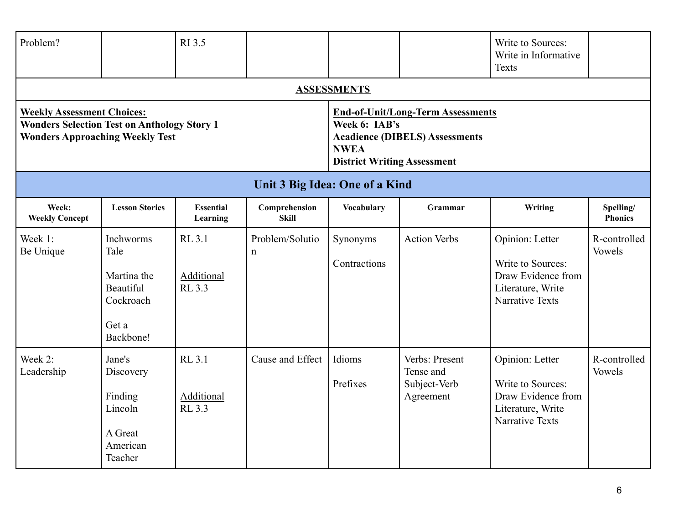| Problem?                                                                                                                          |                                                                                  | RI 3.5                                       |                               |                                                                                                                                                         |                                                          | Write to Sources:<br>Write in Informative<br>Texts                                                        |                               |  |  |
|-----------------------------------------------------------------------------------------------------------------------------------|----------------------------------------------------------------------------------|----------------------------------------------|-------------------------------|---------------------------------------------------------------------------------------------------------------------------------------------------------|----------------------------------------------------------|-----------------------------------------------------------------------------------------------------------|-------------------------------|--|--|
|                                                                                                                                   |                                                                                  |                                              |                               | <b>ASSESSMENTS</b>                                                                                                                                      |                                                          |                                                                                                           |                               |  |  |
| <b>Weekly Assessment Choices:</b><br><b>Wonders Selection Test on Anthology Story 1</b><br><b>Wonders Approaching Weekly Test</b> |                                                                                  |                                              |                               | <b>End-of-Unit/Long-Term Assessments</b><br>Week 6: IAB's<br><b>Acadience (DIBELS) Assessments</b><br><b>NWEA</b><br><b>District Writing Assessment</b> |                                                          |                                                                                                           |                               |  |  |
| Unit 3 Big Idea: One of a Kind                                                                                                    |                                                                                  |                                              |                               |                                                                                                                                                         |                                                          |                                                                                                           |                               |  |  |
| Week:<br><b>Weekly Concept</b>                                                                                                    | <b>Lesson Stories</b>                                                            | <b>Essential</b><br>Learning                 | Comprehension<br><b>Skill</b> | <b>Vocabulary</b>                                                                                                                                       | Grammar                                                  | Writing                                                                                                   | Spelling/<br><b>Phonics</b>   |  |  |
| Week 1:<br>Be Unique                                                                                                              | Inchworms<br>Tale<br>Martina the<br>Beautiful<br>Cockroach<br>Get a<br>Backbone! | <b>RL 3.1</b><br>Additional<br>RL 3.3        | Problem/Solutio<br>n          | Synonyms<br>Contractions                                                                                                                                | <b>Action Verbs</b>                                      | Opinion: Letter<br>Write to Sources:<br>Draw Evidence from<br>Literature, Write<br><b>Narrative Texts</b> | R-controlled<br>Vowels        |  |  |
| Week 2:<br>Leadership                                                                                                             | Jane's<br>Discovery<br>Finding<br>Lincoln<br>A Great<br>American<br>Teacher      | <b>RL 3.1</b><br><b>Additional</b><br>RL 3.3 | Cause and Effect              | Idioms<br>Prefixes                                                                                                                                      | Verbs: Present<br>Tense and<br>Subject-Verb<br>Agreement | Opinion: Letter<br>Write to Sources:<br>Draw Evidence from<br>Literature, Write<br><b>Narrative Texts</b> | R-controlled<br><b>Vowels</b> |  |  |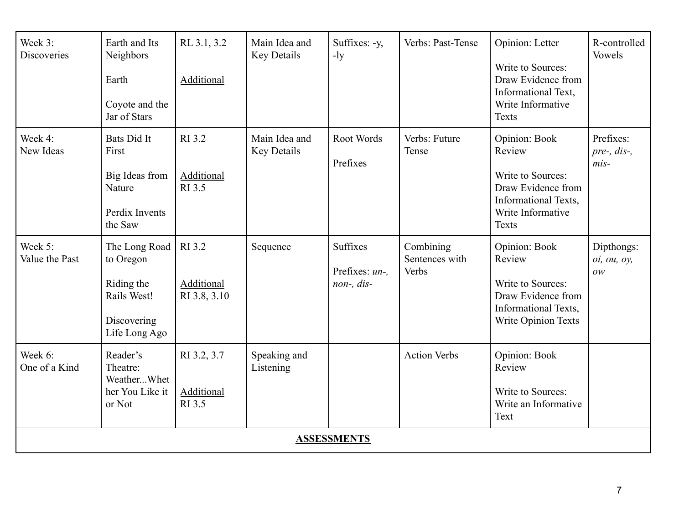| Week 3:<br><b>Discoveries</b> | Earth and Its<br>Neighbors<br>Earth<br>Coyote and the<br>Jar of Stars                   | RL 3.1, 3.2<br><b>Additional</b>     | Main Idea and<br>Key Details        | Suffixes: -y,<br>$-1y$                   | Verbs: Past-Tense                    | Opinion: Letter<br>Write to Sources:<br>Draw Evidence from<br>Informational Text,<br>Write Informative<br><b>Texts</b>          | R-controlled<br>Vowels             |
|-------------------------------|-----------------------------------------------------------------------------------------|--------------------------------------|-------------------------------------|------------------------------------------|--------------------------------------|---------------------------------------------------------------------------------------------------------------------------------|------------------------------------|
| Week 4:<br>New Ideas          | Bats Did It<br>First<br>Big Ideas from<br>Nature<br>Perdix Invents<br>the Saw           | RI 3.2<br>Additional<br>RI 3.5       | Main Idea and<br><b>Key Details</b> | Root Words<br>Prefixes                   | Verbs: Future<br>Tense               | Opinion: Book<br>Review<br>Write to Sources:<br>Draw Evidence from<br>Informational Texts,<br>Write Informative<br><b>Texts</b> | Prefixes:<br>pre-, dis-,<br>$mis-$ |
| Week 5:<br>Value the Past     | The Long Road<br>to Oregon<br>Riding the<br>Rails West!<br>Discovering<br>Life Long Ago | RI 3.2<br>Additional<br>RI 3.8, 3.10 | Sequence                            | Suffixes<br>Prefixes: un-.<br>non-, dis- | Combining<br>Sentences with<br>Verbs | Opinion: Book<br>Review<br>Write to Sources:<br>Draw Evidence from<br>Informational Texts,<br>Write Opinion Texts               | Dipthongs:<br>oi, ou, oy,<br>OW    |
| Week 6:<br>One of a Kind      | Reader's<br>Theatre:<br>WeatherWhet<br>her You Like it<br>or Not                        | RI 3.2, 3.7<br>Additional<br>RI 3.5  | Speaking and<br>Listening           |                                          | <b>Action Verbs</b>                  | Opinion: Book<br>Review<br>Write to Sources:<br>Write an Informative<br>Text                                                    |                                    |
|                               |                                                                                         |                                      |                                     | <b>ASSESSMENTS</b>                       |                                      |                                                                                                                                 |                                    |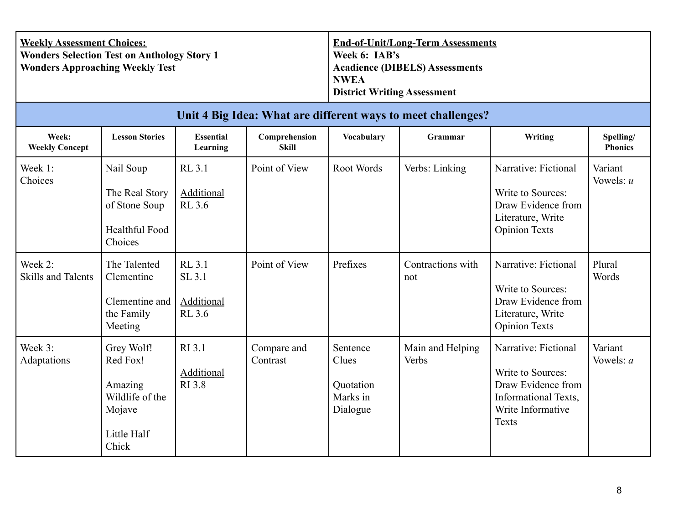| <b>Weekly Assessment Choices:</b>                  | <b>End-of-Unit/Long-Term Assessments</b> |
|----------------------------------------------------|------------------------------------------|
| <b>Wonders Selection Test on Anthology Story 1</b> | Week 6: IAB's                            |
| <b>Wonders Approaching Weekly Test</b>             | <b>Acadience (DIBELS) Assessments</b>    |
|                                                    | <b>NWEA</b>                              |
|                                                    | <b>District Writing Assessment</b>       |

|                                      | Unit 4 Big Idea: What are different ways to meet challenges?                           |                                                 |                         |                                                        |                           |                                                                                                                       |                             |  |  |  |  |  |
|--------------------------------------|----------------------------------------------------------------------------------------|-------------------------------------------------|-------------------------|--------------------------------------------------------|---------------------------|-----------------------------------------------------------------------------------------------------------------------|-----------------------------|--|--|--|--|--|
| Week:<br><b>Weekly Concept</b>       | <b>Lesson Stories</b>                                                                  | <b>Essential</b><br><b>Learning</b>             | Comprehension<br>Skill  | <b>Vocabulary</b>                                      | Grammar                   | Writing                                                                                                               | Spelling/<br><b>Phonics</b> |  |  |  |  |  |
| Week 1:<br>Choices                   | Nail Soup<br>The Real Story<br>of Stone Soup<br>Healthful Food<br>Choices              | <b>RL 3.1</b><br>Additional<br><b>RL 3.6</b>    | Point of View           | Root Words                                             | Verbs: Linking            | Narrative: Fictional<br>Write to Sources:<br>Draw Evidence from<br>Literature, Write<br><b>Opinion Texts</b>          | Variant<br>Vowels: $u$      |  |  |  |  |  |
| Week 2:<br><b>Skills and Talents</b> | The Talented<br>Clementine<br>Clementine and<br>the Family<br>Meeting                  | RL 3.1<br>SL 3.1<br>Additional<br><b>RL</b> 3.6 | Point of View           | Prefixes                                               | Contractions with<br>not  | Narrative: Fictional<br>Write to Sources:<br>Draw Evidence from<br>Literature, Write<br><b>Opinion Texts</b>          | Plural<br>Words             |  |  |  |  |  |
| Week 3:<br>Adaptations               | Grey Wolf!<br>Red Fox!<br>Amazing<br>Wildlife of the<br>Mojave<br>Little Half<br>Chick | RI 3.1<br><b>Additional</b><br>RI 3.8           | Compare and<br>Contrast | Sentence<br>Clues<br>Quotation<br>Marks in<br>Dialogue | Main and Helping<br>Verbs | Narrative: Fictional<br>Write to Sources:<br>Draw Evidence from<br>Informational Texts,<br>Write Informative<br>Texts | Variant<br>Vowels: <i>a</i> |  |  |  |  |  |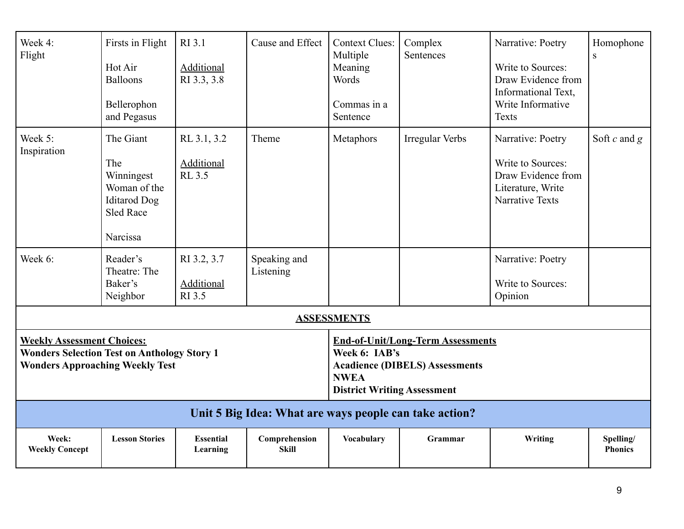| Week 4:<br>Flight                                                                                                                 | Firsts in Flight<br>Hot Air<br><b>Balloons</b><br>Bellerophon<br>and Pegasus                          | RI 3.1<br><b>Additional</b><br>RI 3.3, 3.8 | Cause and Effect                                       | <b>Context Clues:</b><br>Multiple<br>Meaning<br>Words<br>Commas in a<br>Sentence                                                                        | Complex<br>Sentences   | Narrative: Poetry<br>Write to Sources:<br>Draw Evidence from<br>Informational Text,<br>Write Informative<br><b>Texts</b> | Homophone<br>${\bf S}$      |  |
|-----------------------------------------------------------------------------------------------------------------------------------|-------------------------------------------------------------------------------------------------------|--------------------------------------------|--------------------------------------------------------|---------------------------------------------------------------------------------------------------------------------------------------------------------|------------------------|--------------------------------------------------------------------------------------------------------------------------|-----------------------------|--|
| Week 5:<br>Inspiration                                                                                                            | The Giant<br>The<br>Winningest<br>Woman of the<br><b>Iditarod</b> Dog<br><b>Sled Race</b><br>Narcissa | RL 3.1, 3.2<br>Additional<br><b>RL 3.5</b> | Theme                                                  | Metaphors                                                                                                                                               | <b>Irregular Verbs</b> | Narrative: Poetry<br>Write to Sources:<br>Draw Evidence from<br>Literature, Write<br><b>Narrative Texts</b>              | Soft $c$ and $g$            |  |
| Week 6:                                                                                                                           | Reader's<br>Theatre: The<br>Baker's<br>Neighbor                                                       | RI 3.2, 3.7<br>Additional<br>RI 3.5        | Speaking and<br>Listening                              |                                                                                                                                                         |                        | Narrative: Poetry<br>Write to Sources:<br>Opinion                                                                        |                             |  |
|                                                                                                                                   |                                                                                                       |                                            |                                                        | <b>ASSESSMENTS</b>                                                                                                                                      |                        |                                                                                                                          |                             |  |
| <b>Weekly Assessment Choices:</b><br><b>Wonders Selection Test on Anthology Story 1</b><br><b>Wonders Approaching Weekly Test</b> |                                                                                                       |                                            |                                                        | <b>End-of-Unit/Long-Term Assessments</b><br>Week 6: IAB's<br><b>Acadience (DIBELS) Assessments</b><br><b>NWEA</b><br><b>District Writing Assessment</b> |                        |                                                                                                                          |                             |  |
|                                                                                                                                   |                                                                                                       |                                            | Unit 5 Big Idea: What are ways people can take action? |                                                                                                                                                         |                        |                                                                                                                          |                             |  |
| Week:<br><b>Weekly Concept</b>                                                                                                    | <b>Lesson Stories</b>                                                                                 | <b>Essential</b><br>Learning               | Comprehension<br><b>Skill</b>                          | <b>Vocabulary</b>                                                                                                                                       | Grammar                | Writing                                                                                                                  | Spelling/<br><b>Phonics</b> |  |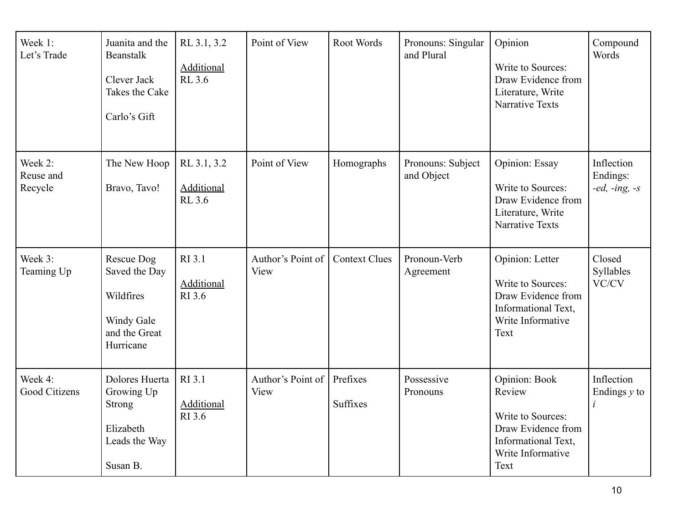| Week 1:<br>Let's Trade          | Juanita and the<br>Beanstalk<br>Clever Jack<br>Takes the Cake<br>Carlo's Gift           | RL 3.1, 3.2<br><b>Additional</b><br><b>RL 3.6</b> | Point of View             | Root Words                  | Pronouns: Singular<br>and Plural | Opinion<br>Write to Sources:<br>Draw Evidence from<br>Literature, Write<br><b>Narrative Texts</b>                      | Compound<br>Words                         |
|---------------------------------|-----------------------------------------------------------------------------------------|---------------------------------------------------|---------------------------|-----------------------------|----------------------------------|------------------------------------------------------------------------------------------------------------------------|-------------------------------------------|
| Week 2:<br>Reuse and<br>Recycle | The New Hoop<br>Bravo, Tavo!                                                            | RL 3.1, 3.2<br><b>Additional</b><br><b>RL 3.6</b> | Point of View             | Homographs                  | Pronouns: Subject<br>and Object  | Opinion: Essay<br>Write to Sources:<br>Draw Evidence from<br>Literature, Write<br><b>Narrative Texts</b>               | Inflection<br>Endings:<br>$-ed, -ing, -s$ |
| Week 3:<br>Teaming Up           | Rescue Dog<br>Saved the Day<br>Wildfires<br>Windy Gale<br>and the Great<br>Hurricane    | RI 3.1<br><b>Additional</b><br>RI 3.6             | Author's Point of<br>View | <b>Context Clues</b>        | Pronoun-Verb<br>Agreement        | Opinion: Letter<br>Write to Sources:<br>Draw Evidence from<br>Informational Text,<br>Write Informative<br>Text         | Closed<br>Syllables<br>VC/CV              |
| Week 4:<br>Good Citizens        | Dolores Huerta<br>Growing Up<br><b>Strong</b><br>Elizabeth<br>Leads the Way<br>Susan B. | RI 3.1<br>Additional<br>RI 3.6                    | Author's Point of<br>View | Prefixes<br><b>Suffixes</b> | Possessive<br>Pronouns           | Opinion: Book<br>Review<br>Write to Sources:<br>Draw Evidence from<br>Informational Text,<br>Write Informative<br>Text | Inflection<br>Endings $y$ to<br>i         |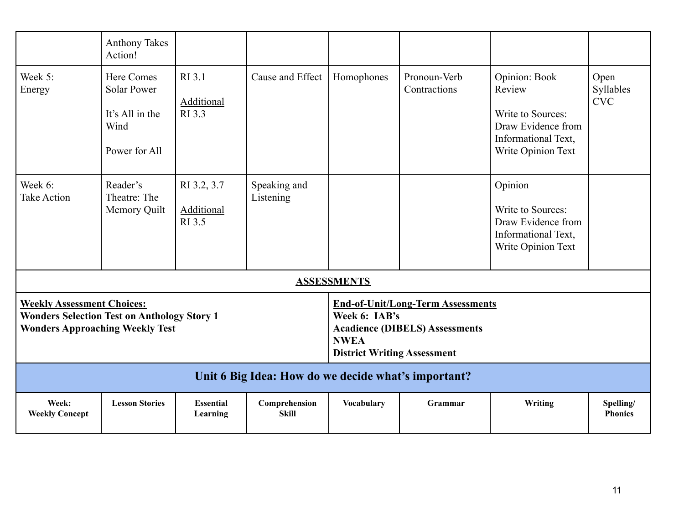|                                                                                                                                   | <b>Anthony Takes</b><br>Action!                                                     |                                            |                                                                                                                                                         |                    |                              |                                                                                                                 |                                 |  |  |  |
|-----------------------------------------------------------------------------------------------------------------------------------|-------------------------------------------------------------------------------------|--------------------------------------------|---------------------------------------------------------------------------------------------------------------------------------------------------------|--------------------|------------------------------|-----------------------------------------------------------------------------------------------------------------|---------------------------------|--|--|--|
| Week 5:<br>Energy                                                                                                                 | <b>Here Comes</b><br><b>Solar Power</b><br>It's All in the<br>Wind<br>Power for All | RI 3.1<br>Additional<br>RI 3.3             | Cause and Effect                                                                                                                                        | Homophones         | Pronoun-Verb<br>Contractions | Opinion: Book<br>Review<br>Write to Sources:<br>Draw Evidence from<br>Informational Text,<br>Write Opinion Text | Open<br>Syllables<br><b>CVC</b> |  |  |  |
| Week 6:<br><b>Take Action</b>                                                                                                     | Reader's<br>Theatre: The<br>Memory Quilt                                            | RI 3.2, 3.7<br><b>Additional</b><br>RI 3.5 | Speaking and<br>Listening                                                                                                                               |                    |                              | Opinion<br>Write to Sources:<br>Draw Evidence from<br>Informational Text,<br>Write Opinion Text                 |                                 |  |  |  |
|                                                                                                                                   |                                                                                     |                                            |                                                                                                                                                         | <b>ASSESSMENTS</b> |                              |                                                                                                                 |                                 |  |  |  |
| <b>Weekly Assessment Choices:</b><br><b>Wonders Selection Test on Anthology Story 1</b><br><b>Wonders Approaching Weekly Test</b> |                                                                                     |                                            | <b>End-of-Unit/Long-Term Assessments</b><br>Week 6: IAB's<br><b>Acadience (DIBELS) Assessments</b><br><b>NWEA</b><br><b>District Writing Assessment</b> |                    |                              |                                                                                                                 |                                 |  |  |  |
|                                                                                                                                   | Unit 6 Big Idea: How do we decide what's important?                                 |                                            |                                                                                                                                                         |                    |                              |                                                                                                                 |                                 |  |  |  |
| Week:<br><b>Weekly Concept</b>                                                                                                    | <b>Lesson Stories</b>                                                               | <b>Essential</b><br>Learning               | Comprehension<br><b>Skill</b>                                                                                                                           | <b>Vocabulary</b>  | Grammar                      | Writing                                                                                                         | Spelling/<br><b>Phonics</b>     |  |  |  |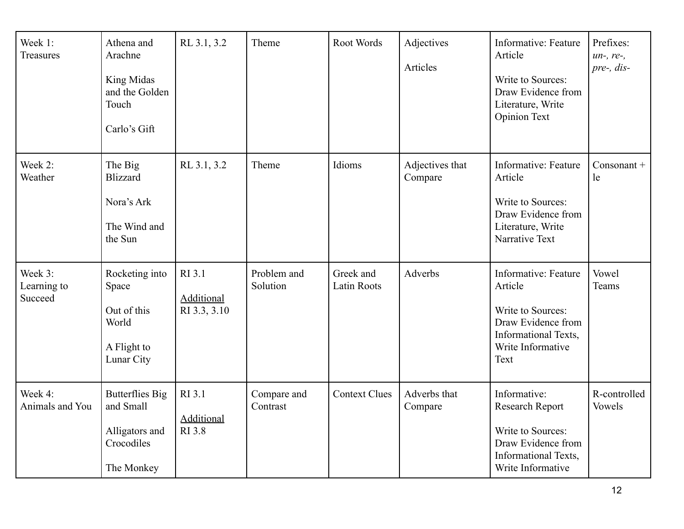| Week 1:<br>Treasures              | Athena and<br>Arachne<br>King Midas<br>and the Golden<br>Touch<br>Carlo's Gift    | RL 3.1, 3.2                                  | Theme                   | Root Words                      | Adjectives<br>Articles     | Informative: Feature<br>Article<br>Write to Sources:<br>Draw Evidence from<br>Literature, Write<br><b>Opinion Text</b>          | Prefixes:<br>$un-, re-,$<br>pre-, dis- |
|-----------------------------------|-----------------------------------------------------------------------------------|----------------------------------------------|-------------------------|---------------------------------|----------------------------|---------------------------------------------------------------------------------------------------------------------------------|----------------------------------------|
| Week 2:<br>Weather                | The Big<br><b>Blizzard</b><br>Nora's Ark<br>The Wind and<br>the Sun               | RL 3.1, 3.2                                  | Theme                   | Idioms                          | Adjectives that<br>Compare | Informative: Feature<br>Article<br>Write to Sources:<br>Draw Evidence from<br>Literature, Write<br>Narrative Text               | $Consonant +$<br>le                    |
| Week 3:<br>Learning to<br>Succeed | Rocketing into<br>Space<br>Out of this<br>World<br>A Flight to<br>Lunar City      | RI 3.1<br>Additional<br>RI 3.3, 3.10         | Problem and<br>Solution | Greek and<br><b>Latin Roots</b> | Adverbs                    | Informative: Feature<br>Article<br>Write to Sources:<br>Draw Evidence from<br>Informational Texts,<br>Write Informative<br>Text | Vowel<br>Teams                         |
| Week 4:<br>Animals and You        | <b>Butterflies Big</b><br>and Small<br>Alligators and<br>Crocodiles<br>The Monkey | RI 3.1<br><b>Additional</b><br><b>RI</b> 3.8 | Compare and<br>Contrast | <b>Context Clues</b>            | Adverbs that<br>Compare    | Informative:<br>Research Report<br>Write to Sources:<br>Draw Evidence from<br>Informational Texts,<br>Write Informative         | R-controlled<br>Vowels                 |